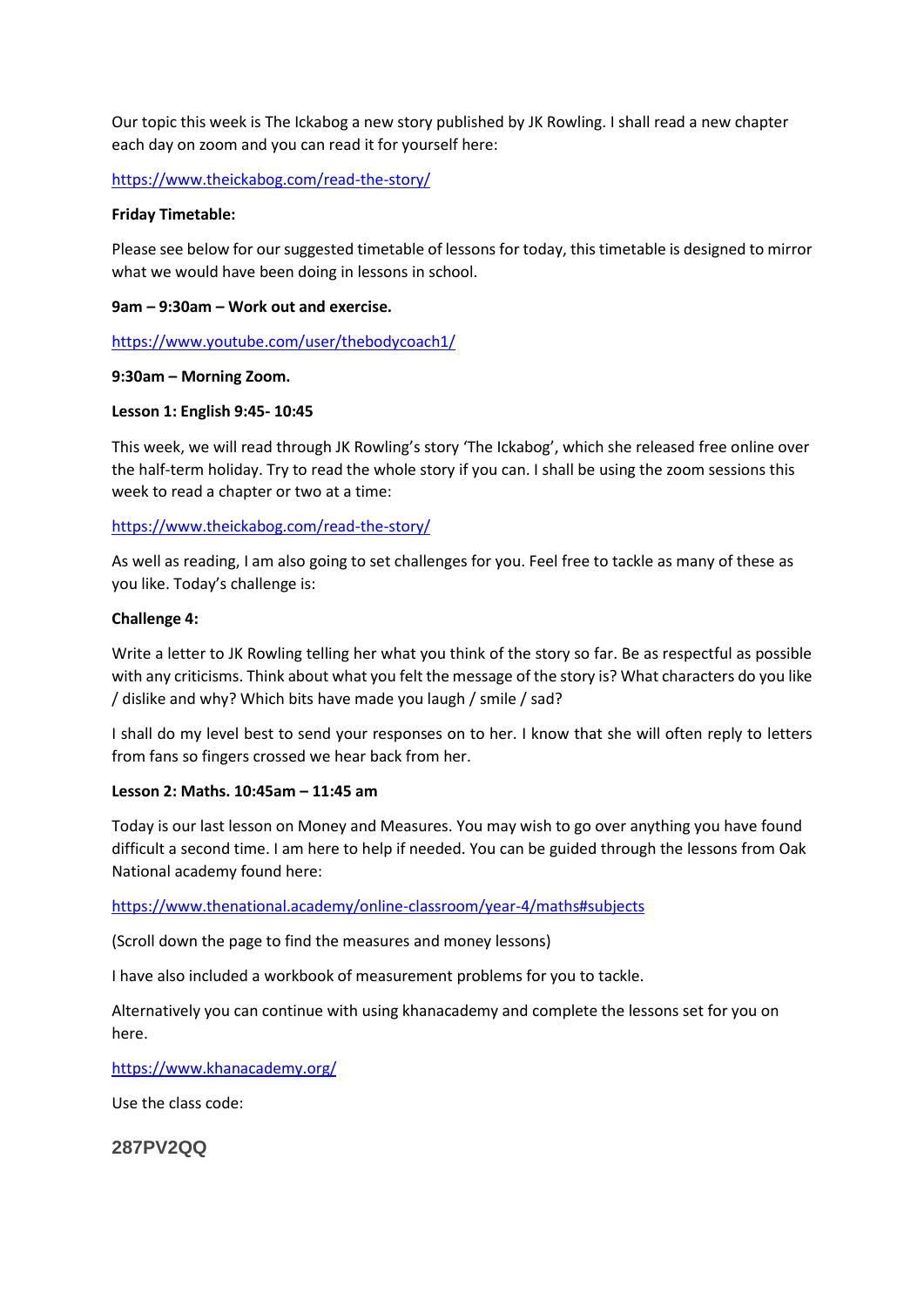Our topic this week is The Ickabog a new story published by JK Rowling. I shall read a new chapter each day on zoom and you can read it for yourself here:

<https://www.theickabog.com/read-the-story/>

### **Friday Timetable:**

Please see below for our suggested timetable of lessons for today, this timetable is designed to mirror what we would have been doing in lessons in school.

## **9am – 9:30am – Work out and exercise.**

<https://www.youtube.com/user/thebodycoach1/>

# **9:30am – Morning Zoom.**

# **Lesson 1: English 9:45- 10:45**

This week, we will read through JK Rowling's story 'The Ickabog', which she released free online over the half-term holiday. Try to read the whole story if you can. I shall be using the zoom sessions this week to read a chapter or two at a time:

# <https://www.theickabog.com/read-the-story/>

As well as reading, I am also going to set challenges for you. Feel free to tackle as many of these as you like. Today's challenge is:

# **Challenge 4:**

Write a letter to JK Rowling telling her what you think of the story so far. Be as respectful as possible with any criticisms. Think about what you felt the message of the story is? What characters do you like / dislike and why? Which bits have made you laugh / smile / sad?

I shall do my level best to send your responses on to her. I know that she will often reply to letters from fans so fingers crossed we hear back from her.

### **Lesson 2: Maths. 10:45am – 11:45 am**

Today is our last lesson on Money and Measures. You may wish to go over anything you have found difficult a second time. I am here to help if needed. You can be guided through the lessons from Oak National academy found here:

<https://www.thenational.academy/online-classroom/year-4/maths#subjects>

(Scroll down the page to find the measures and money lessons)

I have also included a workbook of measurement problems for you to tackle.

Alternatively you can continue with using khanacademy and complete the lessons set for you on here.

<https://www.khanacademy.org/>

Use the class code:

**287PV2QQ**